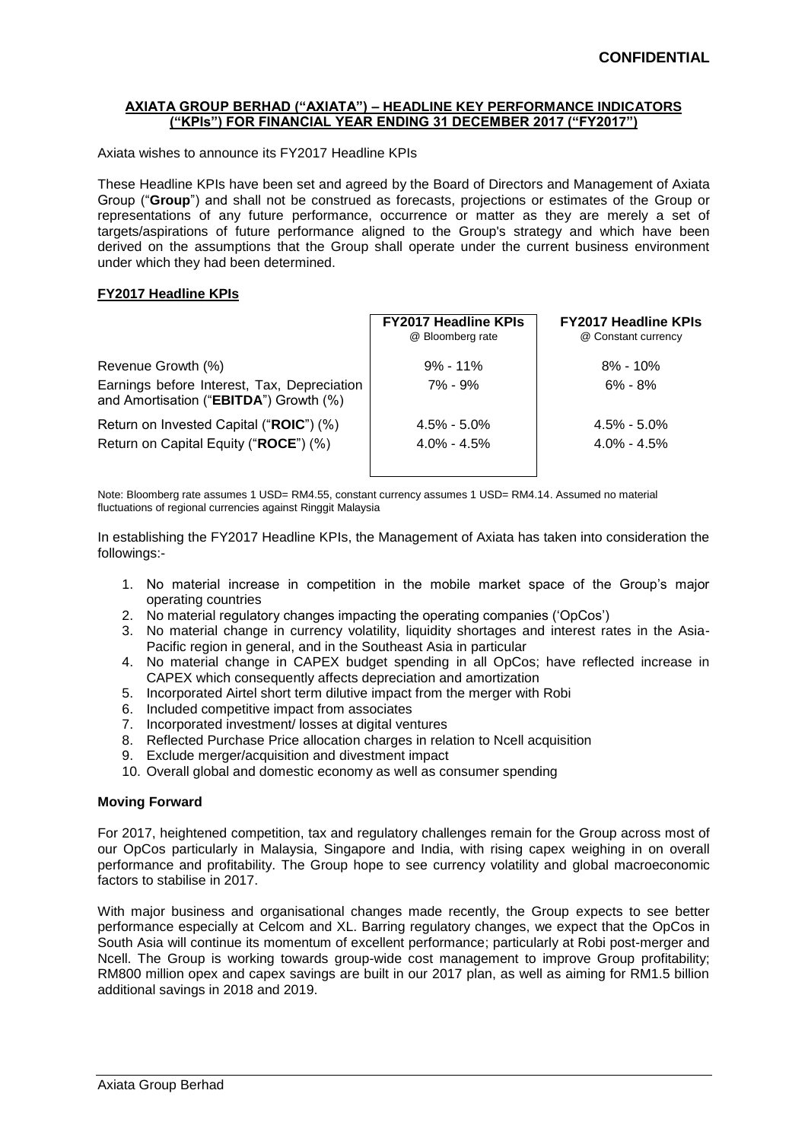## **AXIATA GROUP BERHAD ("AXIATA") – HEADLINE KEY PERFORMANCE INDICATORS ("KPIs") FOR FINANCIAL YEAR ENDING 31 DECEMBER 2017 ("FY2017")**

Axiata wishes to announce its FY2017 Headline KPIs

These Headline KPIs have been set and agreed by the Board of Directors and Management of Axiata Group ("**Group**") and shall not be construed as forecasts, projections or estimates of the Group or representations of any future performance, occurrence or matter as they are merely a set of targets/aspirations of future performance aligned to the Group's strategy and which have been derived on the assumptions that the Group shall operate under the current business environment under which they had been determined.

## **FY2017 Headline KPIs**

|                                                                                       | <b>FY2017 Headline KPIs</b><br>@ Bloomberg rate | <b>FY2017 Headline KPIs</b><br>@ Constant currency |  |
|---------------------------------------------------------------------------------------|-------------------------------------------------|----------------------------------------------------|--|
| Revenue Growth (%)                                                                    | $9\% - 11\%$                                    | $8\% - 10\%$                                       |  |
| Earnings before Interest, Tax, Depreciation<br>and Amortisation ("EBITDA") Growth (%) | $7\% - 9\%$                                     | $6\% - 8\%$                                        |  |
| Return on Invested Capital ("ROIC") (%)                                               | $4.5\% - 5.0\%$                                 | $4.5\% - 5.0\%$                                    |  |
| Return on Capital Equity ("ROCE") (%)                                                 | $4.0\% - 4.5\%$                                 | $4.0\% - 4.5\%$                                    |  |

Note: Bloomberg rate assumes 1 USD= RM4.55, constant currency assumes 1 USD= RM4.14. Assumed no material fluctuations of regional currencies against Ringgit Malaysia

In establishing the FY2017 Headline KPIs, the Management of Axiata has taken into consideration the followings:-

- 1. No material increase in competition in the mobile market space of the Group's major operating countries
- 2. No material regulatory changes impacting the operating companies ('OpCos')
- 3. No material change in currency volatility, liquidity shortages and interest rates in the Asia-Pacific region in general, and in the Southeast Asia in particular
- 4. No material change in CAPEX budget spending in all OpCos; have reflected increase in CAPEX which consequently affects depreciation and amortization
- 5. Incorporated Airtel short term dilutive impact from the merger with Robi
- 6. Included competitive impact from associates
- 7. Incorporated investment/ losses at digital ventures
- 8. Reflected Purchase Price allocation charges in relation to Ncell acquisition
- 9. Exclude merger/acquisition and divestment impact
- 10. Overall global and domestic economy as well as consumer spending

## **Moving Forward**

For 2017, heightened competition, tax and regulatory challenges remain for the Group across most of our OpCos particularly in Malaysia, Singapore and India, with rising capex weighing in on overall performance and profitability. The Group hope to see currency volatility and global macroeconomic factors to stabilise in 2017.

With major business and organisational changes made recently, the Group expects to see better performance especially at Celcom and XL. Barring regulatory changes, we expect that the OpCos in South Asia will continue its momentum of excellent performance; particularly at Robi post-merger and Ncell. The Group is working towards group-wide cost management to improve Group profitability; RM800 million opex and capex savings are built in our 2017 plan, as well as aiming for RM1.5 billion additional savings in 2018 and 2019.